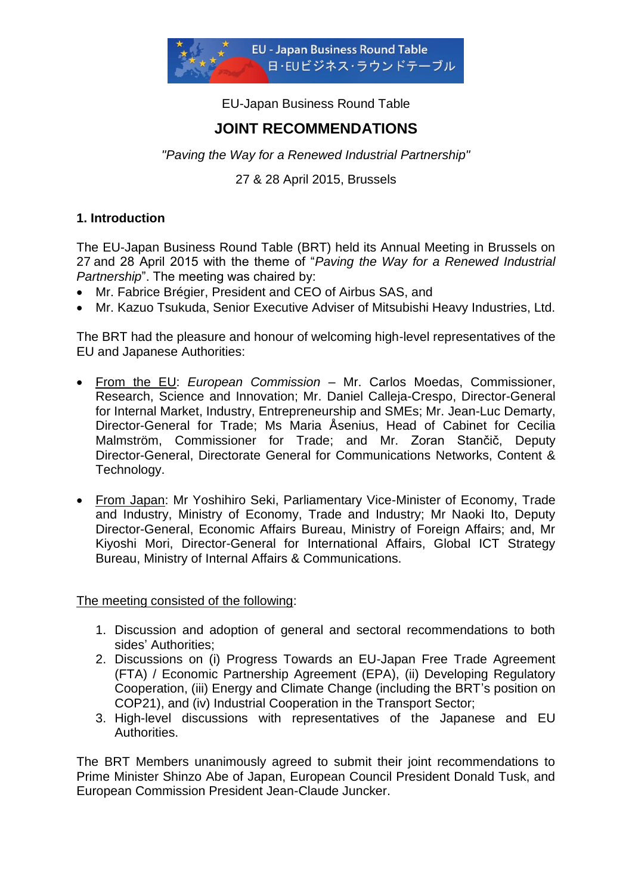

EU-Japan Business Round Table

# **JOINT RECOMMENDATIONS**

*"Paving the Way for a Renewed Industrial Partnership"*

27 & 28 April 2015, Brussels

# **1. Introduction**

The EU-Japan Business Round Table (BRT) held its Annual Meeting in Brussels on 27 and 28 April 2015 with the theme of "*Paving the Way for a Renewed Industrial Partnership*". The meeting was chaired by:

- Mr. Fabrice Brégier, President and CEO of Airbus SAS, and
- Mr. Kazuo Tsukuda, Senior Executive Adviser of Mitsubishi Heavy Industries, Ltd.

The BRT had the pleasure and honour of welcoming high-level representatives of the EU and Japanese Authorities:

- From the EU: *European Commission* Mr. Carlos Moedas, Commissioner, Research, Science and Innovation; Mr. Daniel Calleja-Crespo, Director-General for Internal Market, Industry, Entrepreneurship and SMEs; Mr. Jean-Luc Demarty, Director-General for Trade; Ms Maria Åsenius, Head of Cabinet for Cecilia Malmström, Commissioner for Trade; and Mr. Zoran Stančič, Deputy Director-General, Directorate General for Communications Networks, Content & Technology.
- From Japan: Mr Yoshihiro Seki, Parliamentary Vice-Minister of Economy, Trade and Industry, Ministry of Economy, Trade and Industry; Mr Naoki Ito, Deputy Director-General, Economic Affairs Bureau, Ministry of Foreign Affairs; and, Mr Kiyoshi Mori, Director-General for International Affairs, Global ICT Strategy Bureau, Ministry of Internal Affairs & Communications.

The meeting consisted of the following:

- 1. Discussion and adoption of general and sectoral recommendations to both sides' Authorities;
- 2. Discussions on (i) Progress Towards an EU-Japan Free Trade Agreement (FTA) / Economic Partnership Agreement (EPA), (ii) Developing Regulatory Cooperation, (iii) Energy and Climate Change (including the BRT"s position on COP21), and (iv) Industrial Cooperation in the Transport Sector;
- 3. High-level discussions with representatives of the Japanese and EU Authorities.

The BRT Members unanimously agreed to submit their joint recommendations to Prime Minister Shinzo Abe of Japan, European Council President Donald Tusk, and European Commission President Jean-Claude Juncker.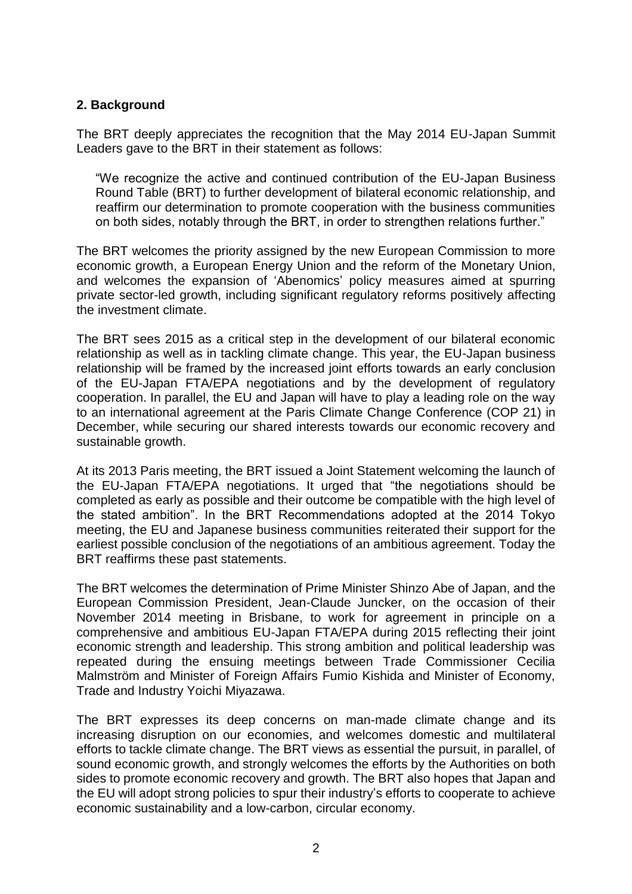# **2. Background**

The BRT deeply appreciates the recognition that the May 2014 EU-Japan Summit Leaders gave to the BRT in their statement as follows:

"We recognize the active and continued contribution of the EU-Japan Business Round Table (BRT) to further development of bilateral economic relationship, and reaffirm our determination to promote cooperation with the business communities on both sides, notably through the BRT, in order to strengthen relations further."

The BRT welcomes the priority assigned by the new European Commission to more economic growth, a European Energy Union and the reform of the Monetary Union, and welcomes the expansion of "Abenomics" policy measures aimed at spurring private sector-led growth, including significant regulatory reforms positively affecting the investment climate.

The BRT sees 2015 as a critical step in the development of our bilateral economic relationship as well as in tackling climate change. This year, the EU-Japan business relationship will be framed by the increased joint efforts towards an early conclusion of the EU-Japan FTA/EPA negotiations and by the development of regulatory cooperation. In parallel, the EU and Japan will have to play a leading role on the way to an international agreement at the Paris Climate Change Conference (COP 21) in December, while securing our shared interests towards our economic recovery and sustainable growth.

At its 2013 Paris meeting, the BRT issued a Joint Statement welcoming the launch of the EU-Japan FTA/EPA negotiations. It urged that "the negotiations should be completed as early as possible and their outcome be compatible with the high level of the stated ambition". In the BRT Recommendations adopted at the 2014 Tokyo meeting, the EU and Japanese business communities reiterated their support for the earliest possible conclusion of the negotiations of an ambitious agreement. Today the BRT reaffirms these past statements.

The BRT welcomes the determination of Prime Minister Shinzo Abe of Japan, and the European Commission President, Jean-Claude Juncker, on the occasion of their November 2014 meeting in Brisbane, to work for agreement in principle on a comprehensive and ambitious EU-Japan FTA/EPA during 2015 reflecting their joint economic strength and leadership. This strong ambition and political leadership was repeated during the ensuing meetings between Trade Commissioner Cecilia Malmström and Minister of Foreign Affairs Fumio Kishida and Minister of Economy, Trade and Industry Yoichi Miyazawa.

The BRT expresses its deep concerns on man-made climate change and its increasing disruption on our economies, and welcomes domestic and multilateral efforts to tackle climate change. The BRT views as essential the pursuit, in parallel, of sound economic growth, and strongly welcomes the efforts by the Authorities on both sides to promote economic recovery and growth. The BRT also hopes that Japan and the EU will adopt strong policies to spur their industry"s efforts to cooperate to achieve economic sustainability and a low-carbon, circular economy.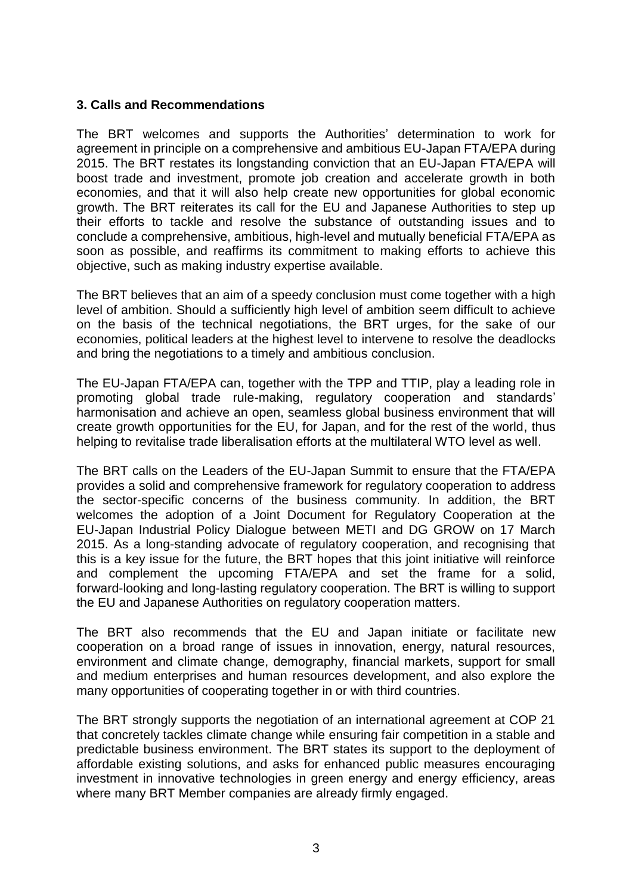## **3. Calls and Recommendations**

The BRT welcomes and supports the Authorities' determination to work for agreement in principle on a comprehensive and ambitious EU-Japan FTA/EPA during 2015. The BRT restates its longstanding conviction that an EU-Japan FTA/EPA will boost trade and investment, promote job creation and accelerate growth in both economies, and that it will also help create new opportunities for global economic growth. The BRT reiterates its call for the EU and Japanese Authorities to step up their efforts to tackle and resolve the substance of outstanding issues and to conclude a comprehensive, ambitious, high-level and mutually beneficial FTA/EPA as soon as possible, and reaffirms its commitment to making efforts to achieve this objective, such as making industry expertise available.

The BRT believes that an aim of a speedy conclusion must come together with a high level of ambition. Should a sufficiently high level of ambition seem difficult to achieve on the basis of the technical negotiations, the BRT urges, for the sake of our economies, political leaders at the highest level to intervene to resolve the deadlocks and bring the negotiations to a timely and ambitious conclusion.

The EU-Japan FTA/EPA can, together with the TPP and TTIP, play a leading role in promoting global trade rule-making, regulatory cooperation and standards" harmonisation and achieve an open, seamless global business environment that will create growth opportunities for the EU, for Japan, and for the rest of the world, thus helping to revitalise trade liberalisation efforts at the multilateral WTO level as well.

The BRT calls on the Leaders of the EU-Japan Summit to ensure that the FTA/EPA provides a solid and comprehensive framework for regulatory cooperation to address the sector-specific concerns of the business community. In addition, the BRT welcomes the adoption of a Joint Document for Regulatory Cooperation at the EU-Japan Industrial Policy Dialogue between METI and DG GROW on 17 March 2015. As a long-standing advocate of regulatory cooperation, and recognising that this is a key issue for the future, the BRT hopes that this joint initiative will reinforce and complement the upcoming FTA/EPA and set the frame for a solid, forward-looking and long-lasting regulatory cooperation. The BRT is willing to support the EU and Japanese Authorities on regulatory cooperation matters.

The BRT also recommends that the EU and Japan initiate or facilitate new cooperation on a broad range of issues in innovation, energy, natural resources, environment and climate change, demography, financial markets, support for small and medium enterprises and human resources development, and also explore the many opportunities of cooperating together in or with third countries.

The BRT strongly supports the negotiation of an international agreement at COP 21 that concretely tackles climate change while ensuring fair competition in a stable and predictable business environment. The BRT states its support to the deployment of affordable existing solutions, and asks for enhanced public measures encouraging investment in innovative technologies in green energy and energy efficiency, areas where many BRT Member companies are already firmly engaged.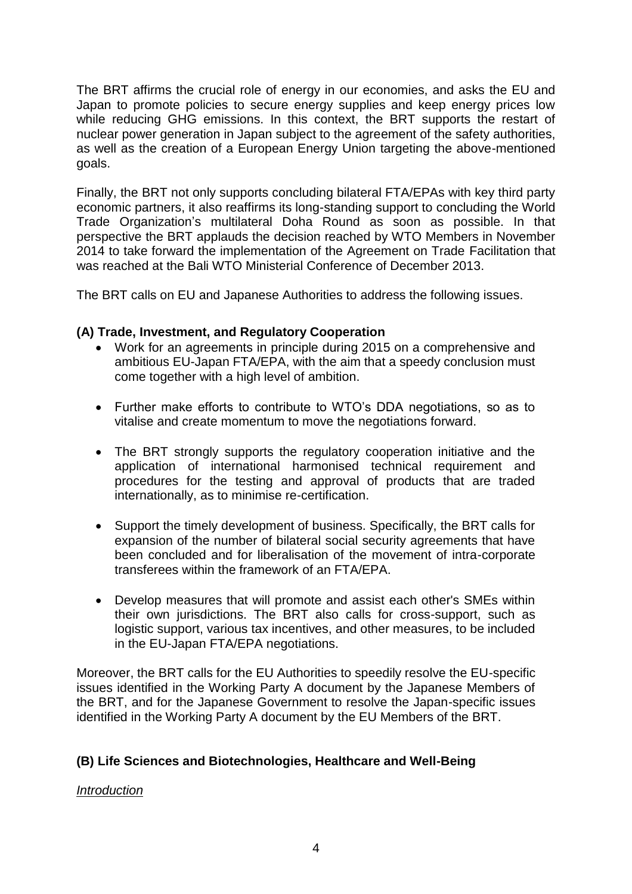The BRT affirms the crucial role of energy in our economies, and asks the EU and Japan to promote policies to secure energy supplies and keep energy prices low while reducing GHG emissions. In this context, the BRT supports the restart of nuclear power generation in Japan subject to the agreement of the safety authorities, as well as the creation of a European Energy Union targeting the above-mentioned goals.

Finally, the BRT not only supports concluding bilateral FTA/EPAs with key third party economic partners, it also reaffirms its long-standing support to concluding the World Trade Organization"s multilateral Doha Round as soon as possible. In that perspective the BRT applauds the decision reached by WTO Members in November 2014 to take forward the implementation of the Agreement on Trade Facilitation that was reached at the Bali WTO Ministerial Conference of December 2013.

The BRT calls on EU and Japanese Authorities to address the following issues.

# **(A) Trade, Investment, and Regulatory Cooperation**

- Work for an agreements in principle during 2015 on a comprehensive and ambitious EU-Japan FTA/EPA, with the aim that a speedy conclusion must come together with a high level of ambition.
- Further make efforts to contribute to WTO"s DDA negotiations, so as to vitalise and create momentum to move the negotiations forward.
- The BRT strongly supports the regulatory cooperation initiative and the application of international harmonised technical requirement and procedures for the testing and approval of products that are traded internationally, as to minimise re-certification.
- Support the timely development of business. Specifically, the BRT calls for expansion of the number of bilateral social security agreements that have been concluded and for liberalisation of the movement of intra-corporate transferees within the framework of an FTA/EPA.
- Develop measures that will promote and assist each other's SMEs within their own jurisdictions. The BRT also calls for cross-support, such as logistic support, various tax incentives, and other measures, to be included in the EU-Japan FTA/EPA negotiations.

Moreover, the BRT calls for the EU Authorities to speedily resolve the EU-specific issues identified in the Working Party A document by the Japanese Members of the BRT, and for the Japanese Government to resolve the Japan-specific issues identified in the Working Party A document by the EU Members of the BRT.

# **(B) Life Sciences and Biotechnologies, Healthcare and Well-Being**

### *Introduction*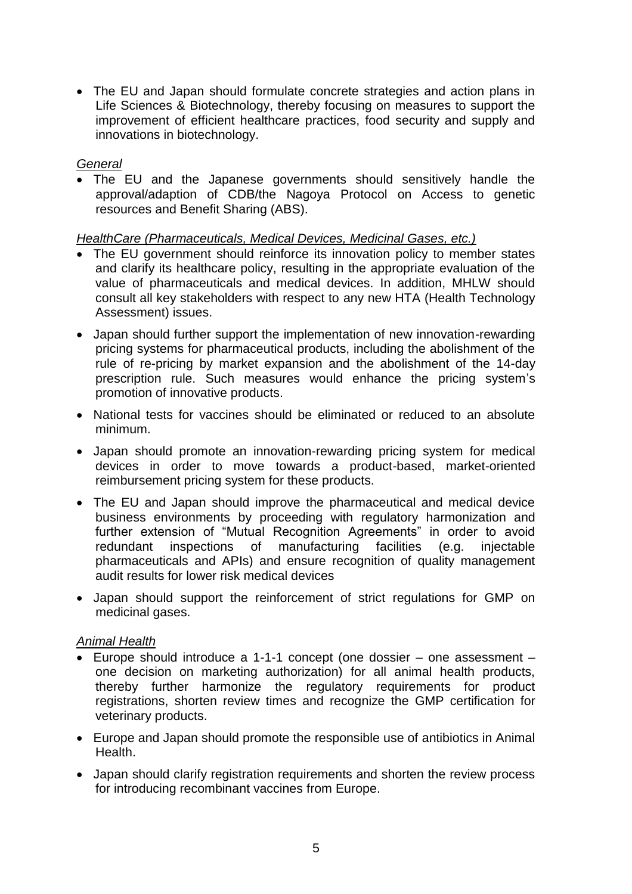The EU and Japan should formulate concrete strategies and action plans in Life Sciences & Biotechnology, thereby focusing on measures to support the improvement of efficient healthcare practices, food security and supply and innovations in biotechnology.

# *General*

 The EU and the Japanese governments should sensitively handle the approval/adaption of CDB/the Nagoya Protocol on Access to genetic resources and Benefit Sharing (ABS).

### *HealthCare (Pharmaceuticals, Medical Devices, Medicinal Gases, etc.)*

- The EU government should reinforce its innovation policy to member states and clarify its healthcare policy, resulting in the appropriate evaluation of the value of pharmaceuticals and medical devices. In addition, MHLW should consult all key stakeholders with respect to any new HTA (Health Technology Assessment) issues.
- Japan should further support the implementation of new innovation-rewarding pricing systems for pharmaceutical products, including the abolishment of the rule of re-pricing by market expansion and the abolishment of the 14-day prescription rule. Such measures would enhance the pricing system"s promotion of innovative products.
- National tests for vaccines should be eliminated or reduced to an absolute minimum.
- Japan should promote an innovation-rewarding pricing system for medical devices in order to move towards a product-based, market-oriented reimbursement pricing system for these products.
- The EU and Japan should improve the pharmaceutical and medical device business environments by proceeding with regulatory harmonization and further extension of "Mutual Recognition Agreements" in order to avoid redundant inspections of manufacturing facilities (e.g. injectable pharmaceuticals and APIs) and ensure recognition of quality management audit results for lower risk medical devices
- Japan should support the reinforcement of strict regulations for GMP on medicinal gases.

### *Animal Health*

- Europe should introduce a 1-1-1 concept (one dossier one assessment one decision on marketing authorization) for all animal health products, thereby further harmonize the regulatory requirements for product registrations, shorten review times and recognize the GMP certification for veterinary products.
- Europe and Japan should promote the responsible use of antibiotics in Animal Health.
- Japan should clarify registration requirements and shorten the review process for introducing recombinant vaccines from Europe.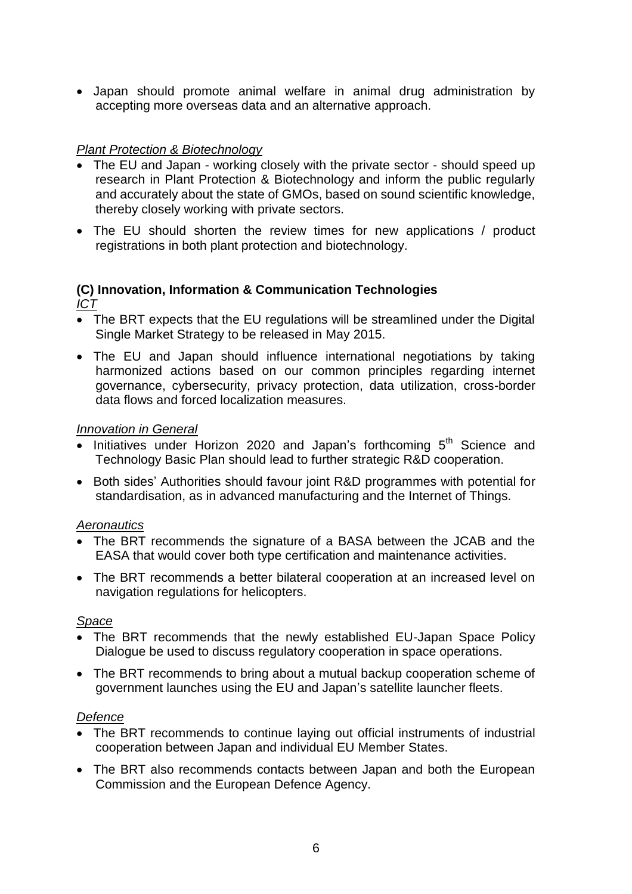Japan should promote animal welfare in animal drug administration by accepting more overseas data and an alternative approach.

# *Plant Protection & Biotechnology*

- The EU and Japan working closely with the private sector should speed up research in Plant Protection & Biotechnology and inform the public regularly and accurately about the state of GMOs, based on sound scientific knowledge, thereby closely working with private sectors.
- The EU should shorten the review times for new applications / product registrations in both plant protection and biotechnology.

#### **(C) Innovation, Information & Communication Technologies** *ICT*

- The BRT expects that the EU regulations will be streamlined under the Digital Single Market Strategy to be released in May 2015.
- The EU and Japan should influence international negotiations by taking harmonized actions based on our common principles regarding internet governance, cybersecurity, privacy protection, data utilization, cross-border data flows and forced localization measures.

## *Innovation in General*

- $\overline{\bullet}$  Initiatives under Horizon 2020 and Japan's forthcoming  $5<sup>th</sup>$  Science and Technology Basic Plan should lead to further strategic R&D cooperation.
- Both sides' Authorities should favour joint R&D programmes with potential for standardisation, as in advanced manufacturing and the Internet of Things.

### *Aeronautics*

- The BRT recommends the signature of a BASA between the JCAB and the EASA that would cover both type certification and maintenance activities.
- The BRT recommends a better bilateral cooperation at an increased level on navigation regulations for helicopters.

### *Space*

- The BRT recommends that the newly established EU-Japan Space Policy Dialogue be used to discuss regulatory cooperation in space operations.
- The BRT recommends to bring about a mutual backup cooperation scheme of government launches using the EU and Japan"s satellite launcher fleets.

### *Defence*

- The BRT recommends to continue laying out official instruments of industrial cooperation between Japan and individual EU Member States.
- The BRT also recommends contacts between Japan and both the European Commission and the European Defence Agency.